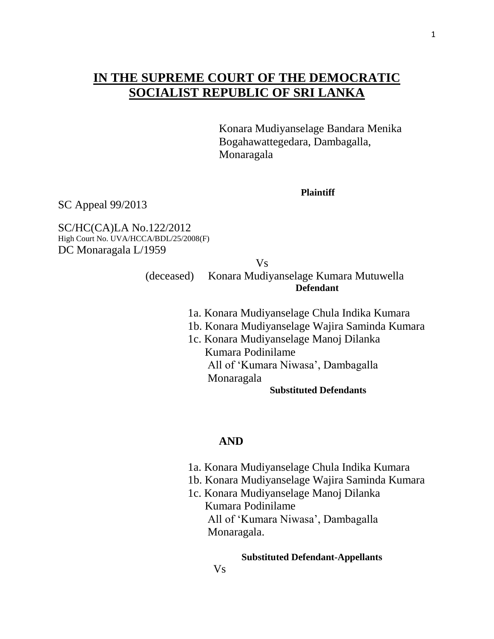# **IN THE SUPREME COURT OF THE DEMOCRATIC SOCIALIST REPUBLIC OF SRI LANKA**

 Konara Mudiyanselage Bandara Menika Bogahawattegedara, Dambagalla, Monaragala

**Plaintiff** 

SC Appeal 99/2013

SC/HC(CA)LA No.122/2012 High Court No. UVA/HCCA/BDL/25/2008(F) DC Monaragala L/1959

Vs

 (deceased) Konara Mudiyanselage Kumara Mutuwella **Defendant** 

- 1a. Konara Mudiyanselage Chula Indika Kumara
- 1b. Konara Mudiyanselage Wajira Saminda Kumara
- 1c. Konara Mudiyanselage Manoj Dilanka Kumara Podinilame All of "Kumara Niwasa", Dambagalla Monaragala

#### **Substituted Defendants**

### **AND**

- 1a. Konara Mudiyanselage Chula Indika Kumara
- 1b. Konara Mudiyanselage Wajira Saminda Kumara
- 1c. Konara Mudiyanselage Manoj Dilanka Kumara Podinilame All of "Kumara Niwasa", Dambagalla Monaragala.

#### **Substituted Defendant-Appellants**

1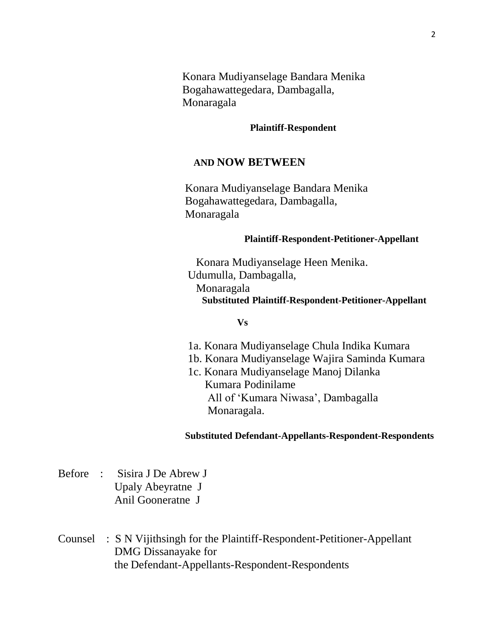Konara Mudiyanselage Bandara Menika Bogahawattegedara, Dambagalla, Monaragala

#### **Plaintiff-Respondent**

## **AND NOW BETWEEN**

Konara Mudiyanselage Bandara Menika Bogahawattegedara, Dambagalla, Monaragala

#### **Plaintiff-Respondent-Petitioner-Appellant**

Konara Mudiyanselage Heen Menika. Udumulla, Dambagalla, Monaragala **Substituted Plaintiff-Respondent-Petitioner-Appellant**

#### **Vs**

- 1a. Konara Mudiyanselage Chula Indika Kumara
- 1b. Konara Mudiyanselage Wajira Saminda Kumara
- 1c. Konara Mudiyanselage Manoj Dilanka Kumara Podinilame All of "Kumara Niwasa", Dambagalla Monaragala.

#### **Substituted Defendant-Appellants-Respondent-Respondents**

- Before : Sisira J De Abrew J Upaly Abeyratne J Anil Gooneratne J
- Counsel : S N Vijithsingh for the Plaintiff-Respondent-Petitioner-Appellant DMG Dissanayake for the Defendant-Appellants-Respondent-Respondents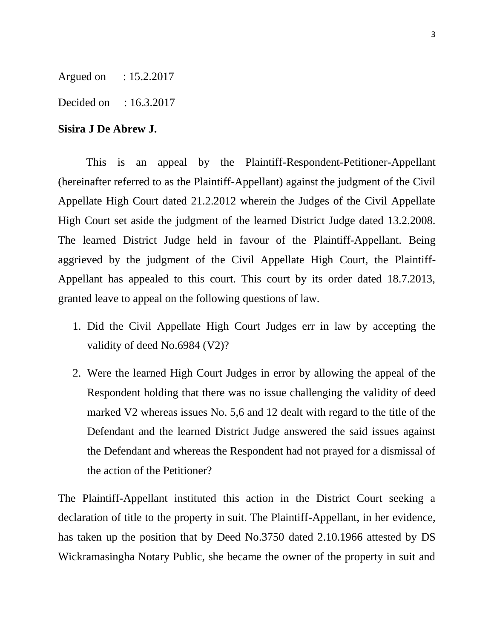Argued on : 15.2.2017

Decided on : 16.3.2017

## **Sisira J De Abrew J.**

This is an appeal by the Plaintiff-Respondent-Petitioner-Appellant (hereinafter referred to as the Plaintiff-Appellant) against the judgment of the Civil Appellate High Court dated 21.2.2012 wherein the Judges of the Civil Appellate High Court set aside the judgment of the learned District Judge dated 13.2.2008. The learned District Judge held in favour of the Plaintiff-Appellant. Being aggrieved by the judgment of the Civil Appellate High Court, the Plaintiff-Appellant has appealed to this court. This court by its order dated 18.7.2013, granted leave to appeal on the following questions of law.

- 1. Did the Civil Appellate High Court Judges err in law by accepting the validity of deed No.6984 (V2)?
- 2. Were the learned High Court Judges in error by allowing the appeal of the Respondent holding that there was no issue challenging the validity of deed marked V2 whereas issues No. 5,6 and 12 dealt with regard to the title of the Defendant and the learned District Judge answered the said issues against the Defendant and whereas the Respondent had not prayed for a dismissal of the action of the Petitioner?

The Plaintiff-Appellant instituted this action in the District Court seeking a declaration of title to the property in suit. The Plaintiff-Appellant, in her evidence, has taken up the position that by Deed No.3750 dated 2.10.1966 attested by DS Wickramasingha Notary Public, she became the owner of the property in suit and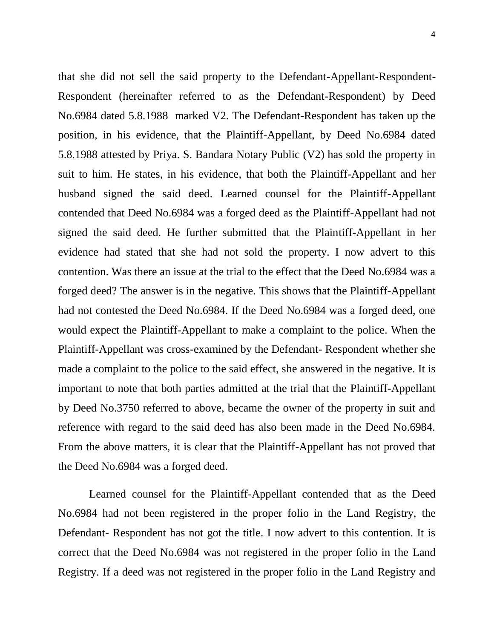that she did not sell the said property to the Defendant-Appellant-Respondent-Respondent (hereinafter referred to as the Defendant-Respondent) by Deed No.6984 dated 5.8.1988 marked V2. The Defendant-Respondent has taken up the position, in his evidence, that the Plaintiff-Appellant, by Deed No.6984 dated 5.8.1988 attested by Priya. S. Bandara Notary Public (V2) has sold the property in suit to him. He states, in his evidence, that both the Plaintiff-Appellant and her husband signed the said deed. Learned counsel for the Plaintiff-Appellant contended that Deed No.6984 was a forged deed as the Plaintiff-Appellant had not signed the said deed. He further submitted that the Plaintiff-Appellant in her evidence had stated that she had not sold the property. I now advert to this contention. Was there an issue at the trial to the effect that the Deed No.6984 was a forged deed? The answer is in the negative. This shows that the Plaintiff-Appellant had not contested the Deed No.6984. If the Deed No.6984 was a forged deed, one would expect the Plaintiff-Appellant to make a complaint to the police. When the Plaintiff-Appellant was cross-examined by the Defendant- Respondent whether she made a complaint to the police to the said effect, she answered in the negative. It is important to note that both parties admitted at the trial that the Plaintiff-Appellant by Deed No.3750 referred to above, became the owner of the property in suit and reference with regard to the said deed has also been made in the Deed No.6984. From the above matters, it is clear that the Plaintiff-Appellant has not proved that the Deed No.6984 was a forged deed.

 Learned counsel for the Plaintiff-Appellant contended that as the Deed No.6984 had not been registered in the proper folio in the Land Registry, the Defendant- Respondent has not got the title. I now advert to this contention. It is correct that the Deed No.6984 was not registered in the proper folio in the Land Registry. If a deed was not registered in the proper folio in the Land Registry and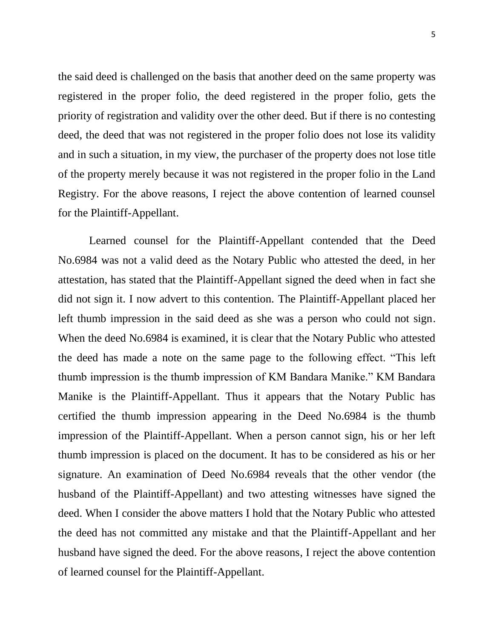the said deed is challenged on the basis that another deed on the same property was registered in the proper folio, the deed registered in the proper folio, gets the priority of registration and validity over the other deed. But if there is no contesting deed, the deed that was not registered in the proper folio does not lose its validity and in such a situation, in my view, the purchaser of the property does not lose title of the property merely because it was not registered in the proper folio in the Land Registry. For the above reasons, I reject the above contention of learned counsel for the Plaintiff-Appellant.

 Learned counsel for the Plaintiff-Appellant contended that the Deed No.6984 was not a valid deed as the Notary Public who attested the deed, in her attestation, has stated that the Plaintiff-Appellant signed the deed when in fact she did not sign it. I now advert to this contention. The Plaintiff-Appellant placed her left thumb impression in the said deed as she was a person who could not sign. When the deed No.6984 is examined, it is clear that the Notary Public who attested the deed has made a note on the same page to the following effect. "This left thumb impression is the thumb impression of KM Bandara Manike." KM Bandara Manike is the Plaintiff-Appellant. Thus it appears that the Notary Public has certified the thumb impression appearing in the Deed No.6984 is the thumb impression of the Plaintiff-Appellant. When a person cannot sign, his or her left thumb impression is placed on the document. It has to be considered as his or her signature. An examination of Deed No.6984 reveals that the other vendor (the husband of the Plaintiff-Appellant) and two attesting witnesses have signed the deed. When I consider the above matters I hold that the Notary Public who attested the deed has not committed any mistake and that the Plaintiff-Appellant and her husband have signed the deed. For the above reasons, I reject the above contention of learned counsel for the Plaintiff-Appellant.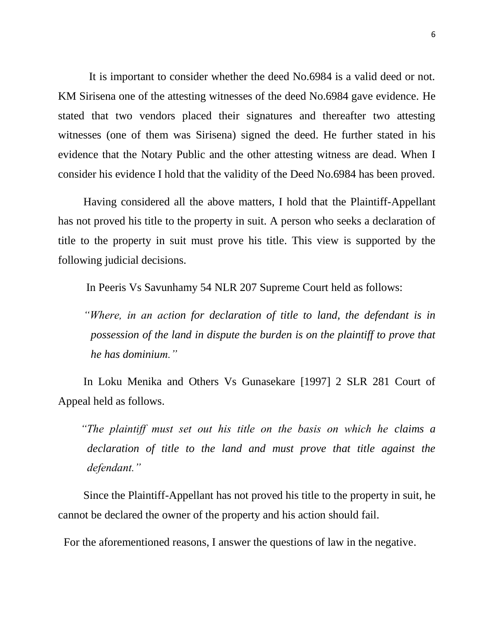It is important to consider whether the deed No.6984 is a valid deed or not. KM Sirisena one of the attesting witnesses of the deed No.6984 gave evidence. He stated that two vendors placed their signatures and thereafter two attesting witnesses (one of them was Sirisena) signed the deed. He further stated in his evidence that the Notary Public and the other attesting witness are dead. When I consider his evidence I hold that the validity of the Deed No.6984 has been proved.

 Having considered all the above matters, I hold that the Plaintiff-Appellant has not proved his title to the property in suit. A person who seeks a declaration of title to the property in suit must prove his title. This view is supported by the following judicial decisions.

In Peeris Vs Savunhamy 54 NLR 207 Supreme Court held as follows:

 *"Where, in an action for declaration of title to land, the defendant is in possession of the land in dispute the burden is on the plaintiff to prove that he has dominium."*

 In Loku Menika and Others Vs Gunasekare [1997] 2 SLR 281 Court of Appeal held as follows.

 *"The plaintiff must set out his title on the basis on which he claims a declaration of title to the land and must prove that title against the defendant."*

 Since the Plaintiff-Appellant has not proved his title to the property in suit, he cannot be declared the owner of the property and his action should fail.

For the aforementioned reasons, I answer the questions of law in the negative.